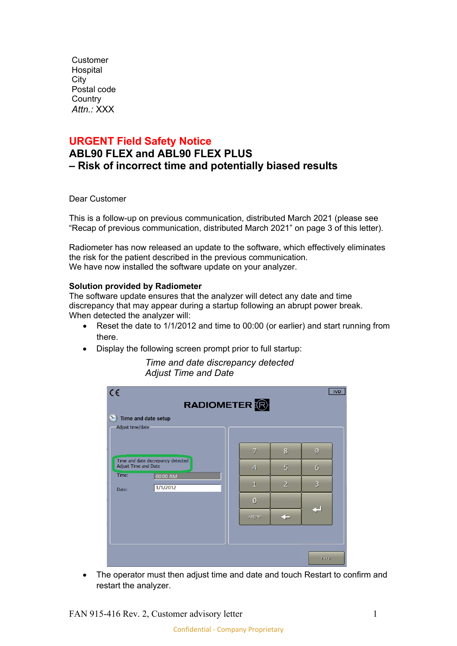Customer Hospital City Postal code **Country** *Attn.:* XXX

### **URGENT Field Safety Notice**

# **ABL90 FLEX and ABL90 FLEX PLUS – Risk of incorrect time and potentially biased results**

Dear Customer

This is a follow-up on previous communication, distributed March 2021 (please see "Recap of previous communication, distributed March 2021" on page 3 of this letter).

Radiometer has now released an update to the software, which effectively eliminates the risk for the patient described in the previous communication. We have now installed the software update on your analyzer.

### **Solution provided by Radiometer**

The software update ensures that the analyzer will detect any date and time discrepancy that may appear during a startup following an abrupt power break. When detected the analyzer will:

- Reset the date to 1/1/2012 and time to 00:00 (or earlier) and start running from there.
- Display the following screen prompt prior to full startup:

*Time and date discrepancy detected Adjust Time and Date*

| $C \in$<br><b>IVD</b><br>RADIOMETER <b>R</b><br>Time and date setup<br>" |  |                |                |                     |  |
|--------------------------------------------------------------------------|--|----------------|----------------|---------------------|--|
| Adjust time/date                                                         |  |                |                |                     |  |
| Time and date discrepancy detected<br>Adjust Time and Date               |  | $\overline{7}$ | 8              | $\overline{9}$      |  |
|                                                                          |  | $\overline{4}$ | $5\overline{}$ | $\ddot{\mathbf{6}}$ |  |
| Time:<br>00:00 AM<br>1/1/2012<br>Date:                                   |  | $\mathbf{1}$   | $\overline{2}$ | $\overline{3}$      |  |
|                                                                          |  | $\bf{0}$       |                |                     |  |
|                                                                          |  | АМ/РМ          |                |                     |  |
|                                                                          |  |                |                |                     |  |
|                                                                          |  |                |                |                     |  |
|                                                                          |  |                |                | Restart             |  |

• The operator must then adjust time and date and touch Restart to confirm and restart the analyzer.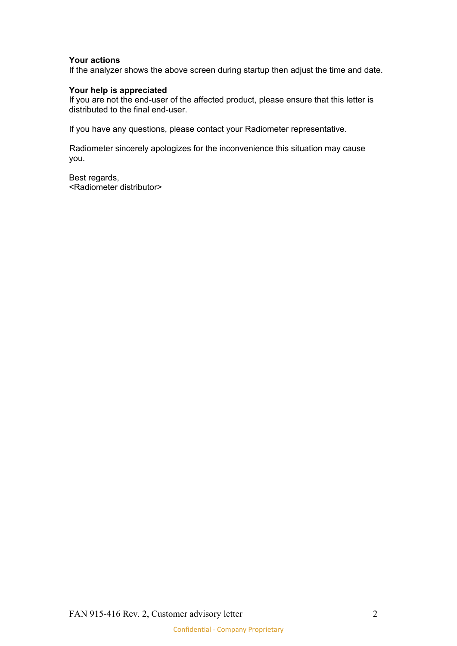#### **Your actions**

If the analyzer shows the above screen during startup then adjust the time and date.

### **Your help is appreciated**

If you are not the end-user of the affected product, please ensure that this letter is distributed to the final end-user.

If you have any questions, please contact your Radiometer representative.

Radiometer sincerely apologizes for the inconvenience this situation may cause you.

Best regards, <Radiometer distributor>